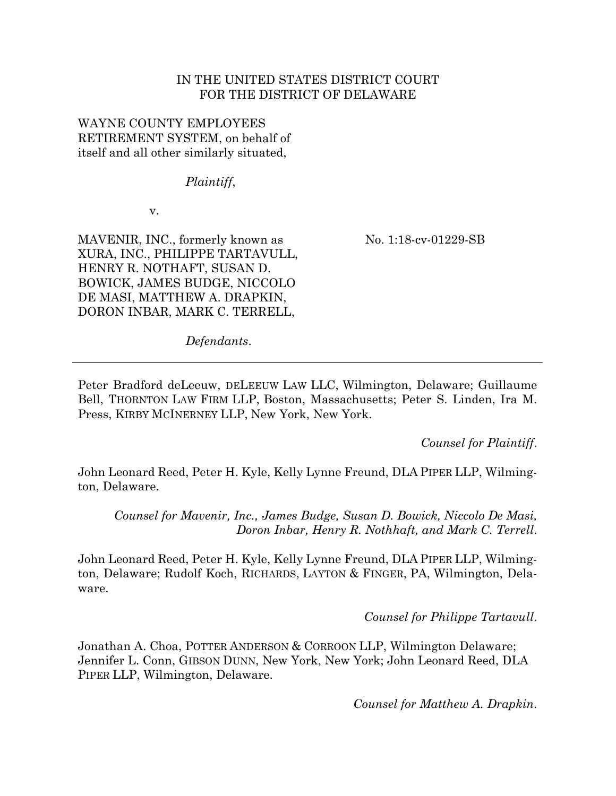## IN THE UNITED STATES DISTRICT COURT FOR THE DISTRICT OF DELAWARE

# WAYNE COUNTY EMPLOYEES RETIREMENT SYSTEM, on behalf of itself and all other similarly situated,

*Plaintiff*,

v.

MAVENIR, INC., formerly known as XURA, INC., PHILIPPE TARTAVULL, HENRY R. NOTHAFT, SUSAN D. BOWICK, JAMES BUDGE, NICCOLO DE MASI, MATTHEW A. DRAPKIN, DORON INBAR, MARK C. TERRELL,

No. 1:18-cv-01229-SB

*Defendants*.

Peter Bradford deLeeuw, DELEEUW LAW LLC, Wilmington, Delaware; Guillaume Bell, THORNTON LAW FIRM LLP, Boston, Massachusetts; Peter S. Linden, Ira M. Press, KIRBY MCINERNEY LLP, New York, New York.

*Counsel for Plaintiff*.

John Leonard Reed, Peter H. Kyle, Kelly Lynne Freund, DLA PIPER LLP, Wilmington, Delaware.

*Counsel for Mavenir, Inc., James Budge, Susan D. Bowick, Niccolo De Masi, Doron Inbar, Henry R. Nothhaft, and Mark C. Terrell*.

John Leonard Reed, Peter H. Kyle, Kelly Lynne Freund, DLA PIPER LLP, Wilmington, Delaware; Rudolf Koch, RICHARDS, LAYTON & FINGER, PA, Wilmington, Delaware.

*Counsel for Philippe Tartavull*.

Jonathan A. Choa, POTTER ANDERSON & CORROON LLP, Wilmington Delaware; Jennifer L. Conn, GIBSON DUNN, New York, New York; John Leonard Reed, DLA PIPER LLP, Wilmington, Delaware.

*Counsel for Matthew A. Drapkin*.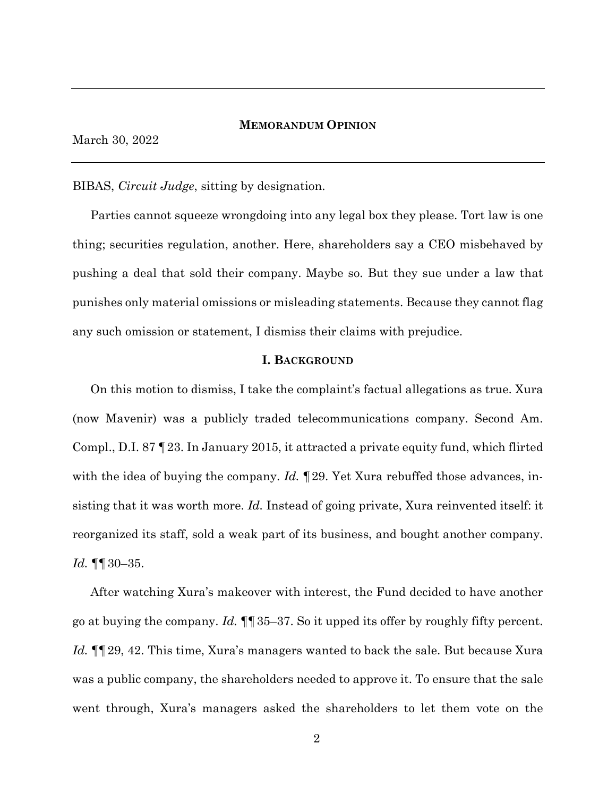#### **MEMORANDUM OPINION**

March 30, 2022

BIBAS, *Circuit Judge*, sitting by designation.

Parties cannot squeeze wrongdoing into any legal box they please. Tort law is one thing; securities regulation, another. Here, shareholders say a CEO misbehaved by pushing a deal that sold their company. Maybe so. But they sue under a law that punishes only material omissions or misleading statements. Because they cannot flag any such omission or statement, I dismiss their claims with prejudice.

#### **I. BACKGROUND**

On this motion to dismiss, I take the complaint's factual allegations as true. Xura (now Mavenir) was a publicly traded telecommunications company. Second Am. Compl., D.I. 87 ¶23. In January 2015, it attracted a private equity fund, which flirted with the idea of buying the company. *Id.* 129. Yet Xura rebuffed those advances, insisting that it was worth more. *Id.* Instead of going private, Xura reinvented itself: it reorganized its staff, sold a weak part of its business, and bought another company. *Id.* ¶¶30–35.

After watching Xura's makeover with interest, the Fund decided to have another go at buying the company. *Id.* ¶¶35–37. So it upped its offer by roughly fifty percent. *Id.* **[1**29, 42. This time, Xura's managers wanted to back the sale. But because Xura was a public company, the shareholders needed to approve it. To ensure that the sale went through, Xura's managers asked the shareholders to let them vote on the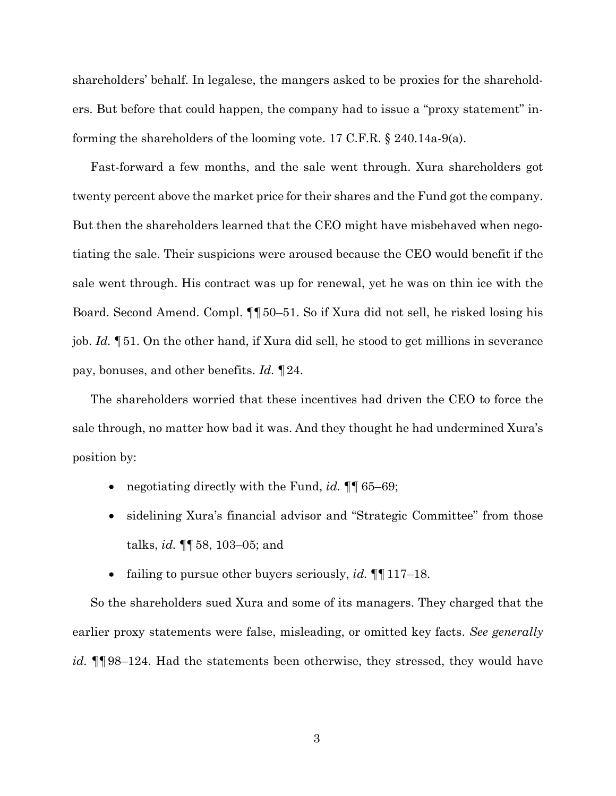shareholders' behalf. In legalese, the mangers asked to be proxies for the shareholders. But before that could happen, the company had to issue a "proxy statement" informing the shareholders of the looming vote. 17 C.F.R. § 240.14a-9(a).

Fast-forward a few months, and the sale went through. Xura shareholders got twenty percent above the market price for their shares and the Fund got the company. But then the shareholders learned that the CEO might have misbehaved when negotiating the sale. Their suspicions were aroused because the CEO would benefit if the sale went through. His contract was up for renewal, yet he was on thin ice with the Board. Second Amend. Compl. ¶¶50–51. So if Xura did not sell, he risked losing his job. *Id.* ¶51. On the other hand, if Xura did sell, he stood to get millions in severance pay, bonuses, and other benefits. *Id.* ¶24.

The shareholders worried that these incentives had driven the CEO to force the sale through, no matter how bad it was. And they thought he had undermined Xura's position by:

- negotiating directly with the Fund, *id*.  $\P\P$  65–69;
- sidelining Xura's financial advisor and "Strategic Committee" from those talks, *id.* ¶¶58, 103–05; and
- failing to pursue other buyers seriously, *id.*  $\P$ [117–18.

So the shareholders sued Xura and some of its managers. They charged that the earlier proxy statements were false, misleading, or omitted key facts. *See generally id.* ¶¶98–124. Had the statements been otherwise, they stressed, they would have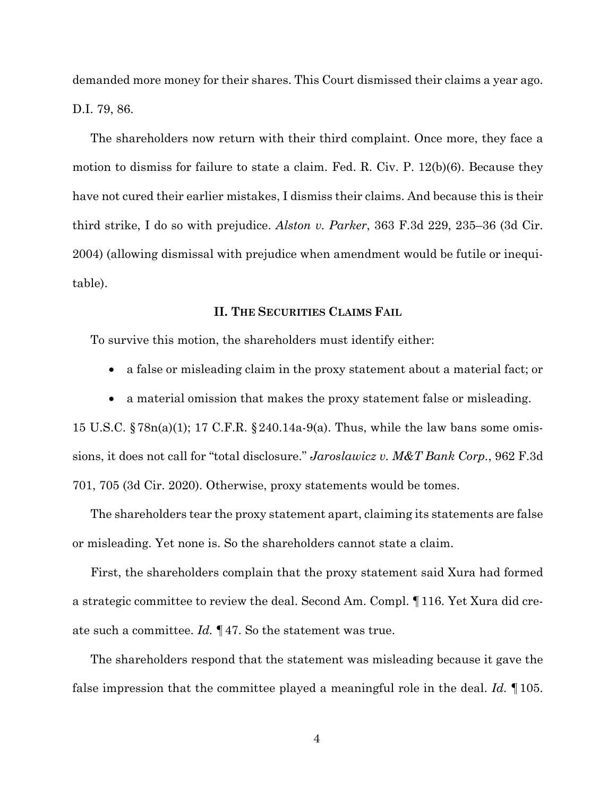demanded more money for their shares. This Court dismissed their claims a year ago. D.I. 79, 86.

The shareholders now return with their third complaint. Once more, they face a motion to dismiss for failure to state a claim. Fed. R. Civ. P. 12(b)(6). Because they have not cured their earlier mistakes, I dismiss their claims. And because this is their third strike, I do so with prejudice. *Alston v. Parker*, 363 F.3d 229, 235–36 (3d Cir. 2004) (allowing dismissal with prejudice when amendment would be futile or inequitable).

### **II. THE SECURITIES CLAIMS FAIL**

To survive this motion, the shareholders must identify either:

- a false or misleading claim in the proxy statement about a material fact; or
- a material omission that makes the proxy statement false or misleading.

15 U.S.C. §78n(a)(1); 17 C.F.R. §240.14a-9(a). Thus, while the law bans some omissions, it does not call for "total disclosure." *Jaroslawicz v. M&T Bank Corp.*, 962 F.3d 701, 705 (3d Cir. 2020). Otherwise, proxy statements would be tomes.

The shareholders tear the proxy statement apart, claiming its statements are false or misleading. Yet none is. So the shareholders cannot state a claim.

First, the shareholders complain that the proxy statement said Xura had formed a strategic committee to review the deal. Second Am. Compl. ¶116. Yet Xura did create such a committee. *Id.* ¶47. So the statement was true.

The shareholders respond that the statement was misleading because it gave the false impression that the committee played a meaningful role in the deal. *Id.* ¶105.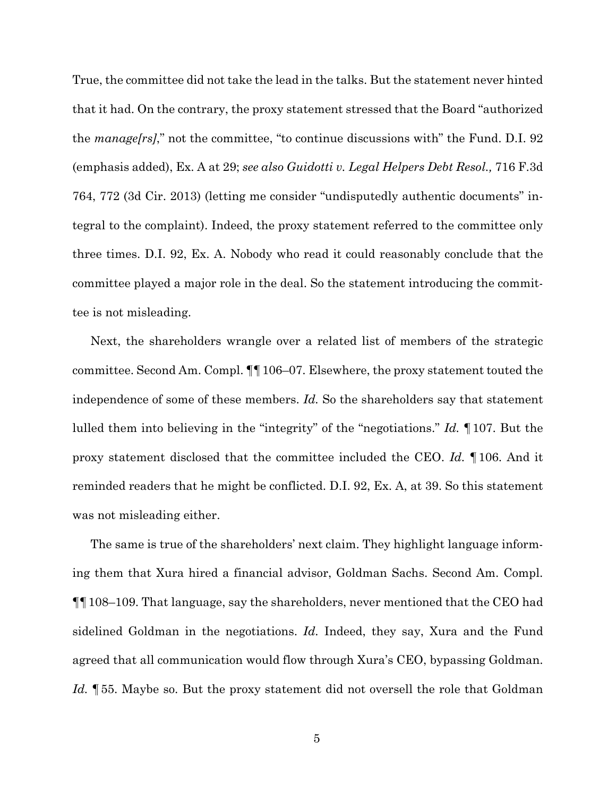True, the committee did not take the lead in the talks. But the statement never hinted that it had. On the contrary, the proxy statement stressed that the Board "authorized the *manage[rs]*," not the committee, "to continue discussions with" the Fund. D.I. 92 (emphasis added), Ex. A at 29; *see also Guidotti v. Legal Helpers Debt Resol.,* 716 F.3d 764, 772 (3d Cir. 2013) (letting me consider "undisputedly authentic documents" integral to the complaint). Indeed, the proxy statement referred to the committee only three times. D.I. 92, Ex. A. Nobody who read it could reasonably conclude that the committee played a major role in the deal. So the statement introducing the committee is not misleading.

Next, the shareholders wrangle over a related list of members of the strategic committee. Second Am. Compl. ¶¶106–07. Elsewhere, the proxy statement touted the independence of some of these members. *Id.* So the shareholders say that statement lulled them into believing in the "integrity" of the "negotiations." *Id.* ¶107. But the proxy statement disclosed that the committee included the CEO. *Id.* ¶106. And it reminded readers that he might be conflicted. D.I. 92, Ex. A, at 39. So this statement was not misleading either.

The same is true of the shareholders' next claim. They highlight language informing them that Xura hired a financial advisor, Goldman Sachs. Second Am. Compl. ¶¶108–109. That language, say the shareholders, never mentioned that the CEO had sidelined Goldman in the negotiations. *Id.* Indeed, they say, Xura and the Fund agreed that all communication would flow through Xura's CEO, bypassing Goldman. Id. **[55. Maybe so. But the proxy statement did not oversell the role that Goldman**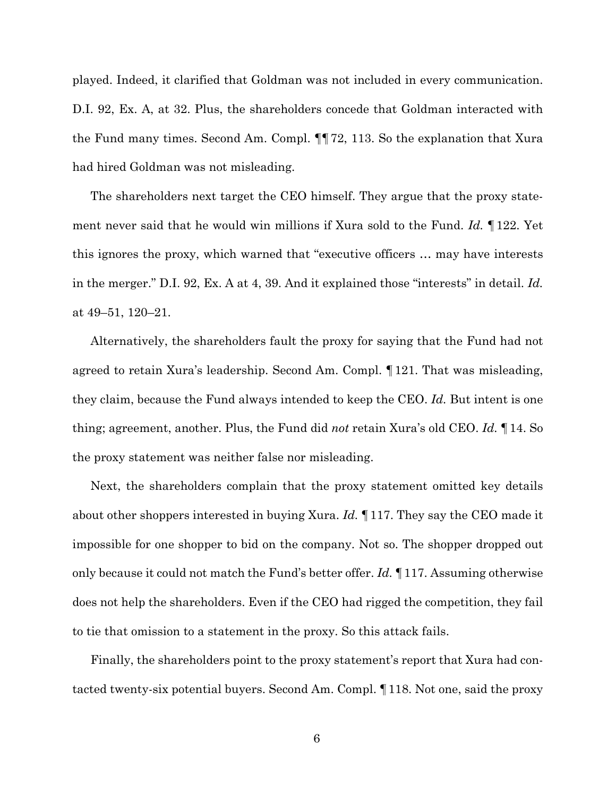played. Indeed, it clarified that Goldman was not included in every communication. D.I. 92, Ex. A, at 32. Plus, the shareholders concede that Goldman interacted with the Fund many times. Second Am. Compl. ¶¶72, 113. So the explanation that Xura had hired Goldman was not misleading.

The shareholders next target the CEO himself. They argue that the proxy statement never said that he would win millions if Xura sold to the Fund. *Id.* ¶122. Yet this ignores the proxy, which warned that "executive officers … may have interests in the merger." D.I. 92, Ex. A at 4, 39. And it explained those "interests" in detail. *Id.*  at 49–51, 120–21.

Alternatively, the shareholders fault the proxy for saying that the Fund had not agreed to retain Xura's leadership. Second Am. Compl. ¶121. That was misleading, they claim, because the Fund always intended to keep the CEO. *Id.* But intent is one thing; agreement, another. Plus, the Fund did *not* retain Xura's old CEO. *Id.* ¶14. So the proxy statement was neither false nor misleading.

Next, the shareholders complain that the proxy statement omitted key details about other shoppers interested in buying Xura. *Id.* ¶117. They say the CEO made it impossible for one shopper to bid on the company. Not so. The shopper dropped out only because it could not match the Fund's better offer. *Id.* ¶117. Assuming otherwise does not help the shareholders. Even if the CEO had rigged the competition, they fail to tie that omission to a statement in the proxy. So this attack fails.

Finally, the shareholders point to the proxy statement's report that Xura had contacted twenty-six potential buyers. Second Am. Compl. ¶118. Not one, said the proxy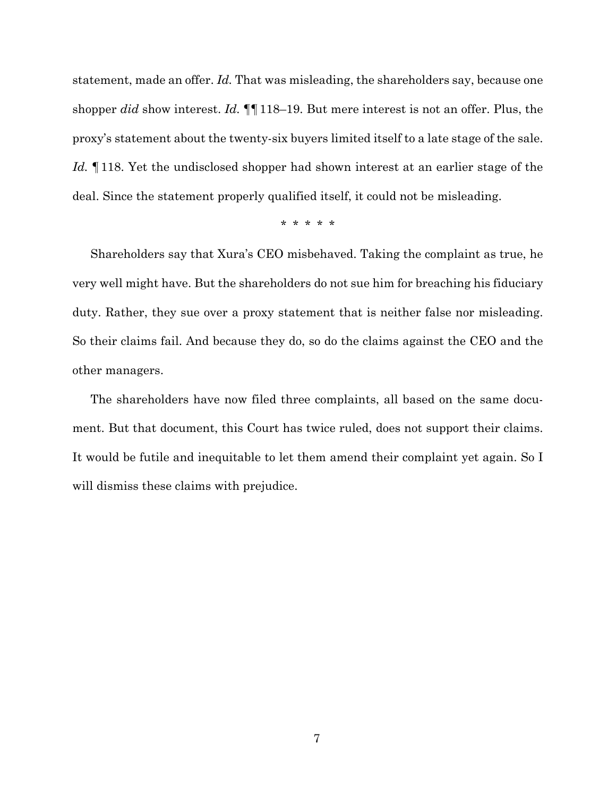statement, made an offer. *Id.* That was misleading, the shareholders say, because one shopper *did* show interest. *Id.* ¶¶118–19. But mere interest is not an offer. Plus, the proxy's statement about the twenty-six buyers limited itself to a late stage of the sale. Id. <sup>¶</sup> 118. Yet the undisclosed shopper had shown interest at an earlier stage of the deal. Since the statement properly qualified itself, it could not be misleading.

\* \* \* \* \*

Shareholders say that Xura's CEO misbehaved. Taking the complaint as true, he very well might have. But the shareholders do not sue him for breaching his fiduciary duty. Rather, they sue over a proxy statement that is neither false nor misleading. So their claims fail. And because they do, so do the claims against the CEO and the other managers.

The shareholders have now filed three complaints, all based on the same document. But that document, this Court has twice ruled, does not support their claims. It would be futile and inequitable to let them amend their complaint yet again. So I will dismiss these claims with prejudice.